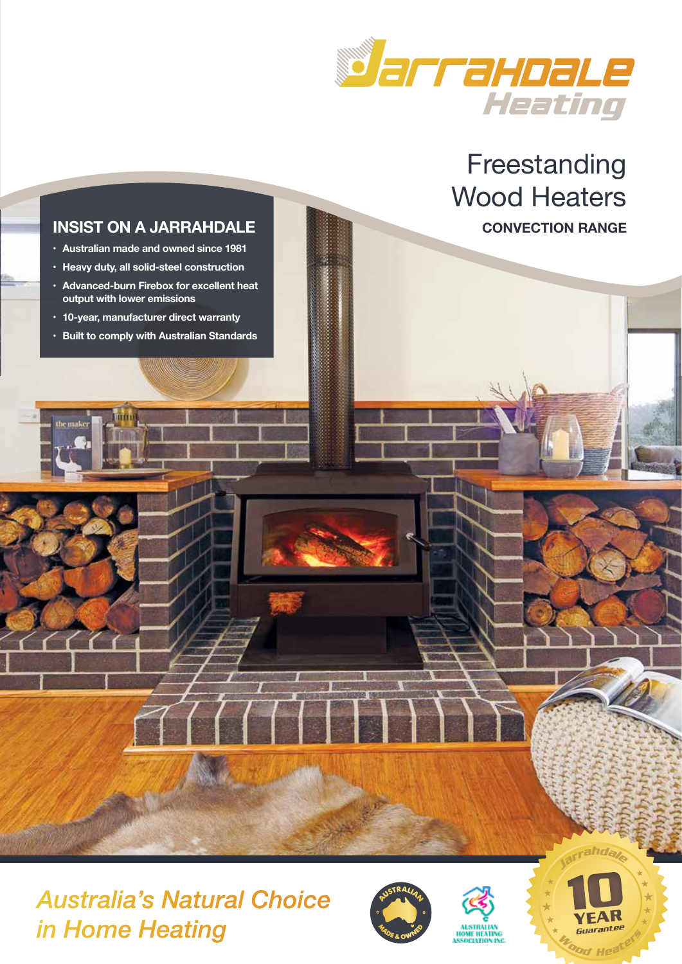

Freestanding Wood Heaters **CONVECTION RANGE**

# **INSIST ON A JARRAHDALE**

- **• Australian made and owned since 1981**
- **• Heavy duty, all solid-steel construction**
- **• Advanced-burn Firebox for excellent heat output with lower emissions**
- **• 10-year, manufacturer direct warranty**

 $\sim$  (  $\sim$  (

**• Built to comply with Australian Standards** 

# *Australia's Natural Choice in Home Heating <i>M*<sub>*s*</sup>*b*<sub>*s*</sub>*ow*<sup>*s*</sup> *M*<sub>*s*</sub> *M*<sub>*s*</sub> *M*<sub>*s*</sub> *L*<sub>*s*</sub> *a*<sub>*cod*</sup> Hea</sub></sub>





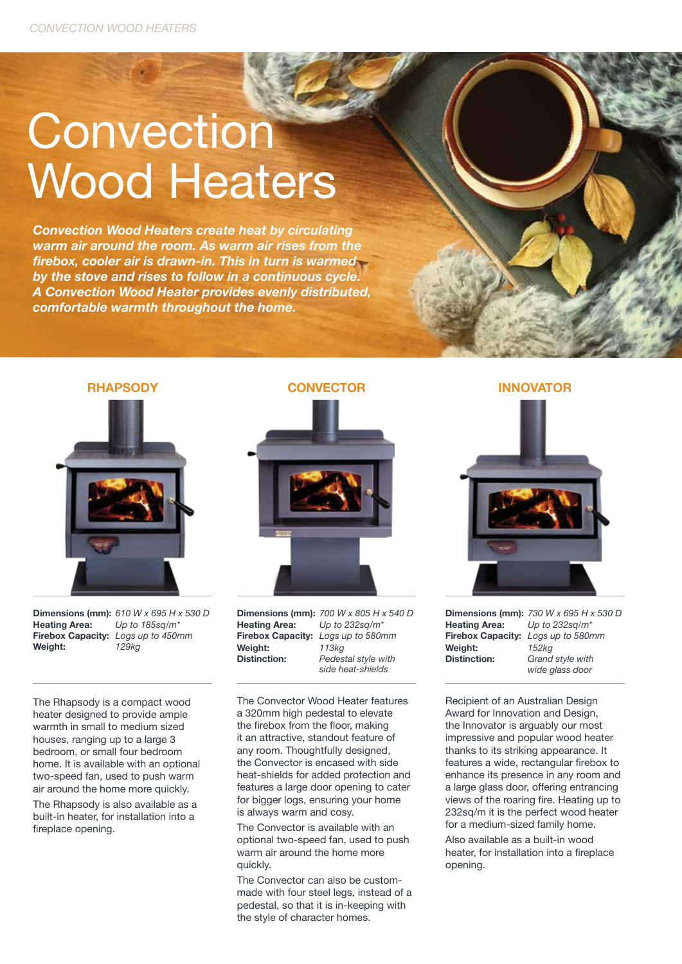# **Convection** Wood Heaters

*Convection Wood Heaters create heat by circulating warm air around the room. As warm air rises from the firebox, cooler air is drawn-in. This in turn is warmed by the stove and rises to follow in a continuous cycle. A Convection Wood Heater provides evenly distributed, comfortable warmth throughout the home.*



**Dimensions (mm):** *610 W x 695 H x 530 D*<br>**Heating Area:** *Lip to 185sg/m\** **Heating Area:** *Up to 185sq/m\** **Firebox Capacity:** *Logs up to 450mm* **Weight:** 

The Rhapsody is a compact wood heater designed to provide ample warmth in small to medium sized houses, ranging up to a large 3 bedroom, or small four bedroom home. It is available with an optional two-speed fan, used to push warm air around the home more quickly.

The Rhapsody is also available as a built-in heater, for installation into a fireplace opening.



**Dimensions (mm):** 700 W x 805 H x 540 D<br>**Heating Area:** *Up to 232sq/m\** **Heating Area: Firebox Capacity:** *Logs up to 580mm* **Weight:** *113kg* **Pedestal style with**  *side heat-shields*

The Convector Wood Heater features a 320mm high pedestal to elevate the firebox from the floor, making it an attractive, standout feature of any room. Thoughtfully designed, the Convector is encased with side heat-shields for added protection and features a large door opening to cater for bigger logs, ensuring your home is always warm and cosy.

The Convector is available with an optional two-speed fan, used to push warm air around the home more quickly.

The Convector can also be custommade with four steel legs, instead of a pedestal, so that it is in-keeping with the style of character homes.

**INNOVATOR**



**Dimensions (mm):** *730 W x 695 H x 530 D* **Heating Area: Firebox Capacity:** *Logs up to 580mm* **Weight:** *152kg* Grand style with  *wide glass door*

Recipient of an Australian Design Award for Innovation and Design, the Innovator is arguably our most impressive and popular wood heater thanks to its striking appearance. It features a wide, rectangular firebox to enhance its presence in any room and a large glass door, offering entrancing views of the roaring fire. Heating up to 232sq/m it is the perfect wood heater for a medium-sized family home.

Also available as a built-in wood heater, for installation into a fireplace opening.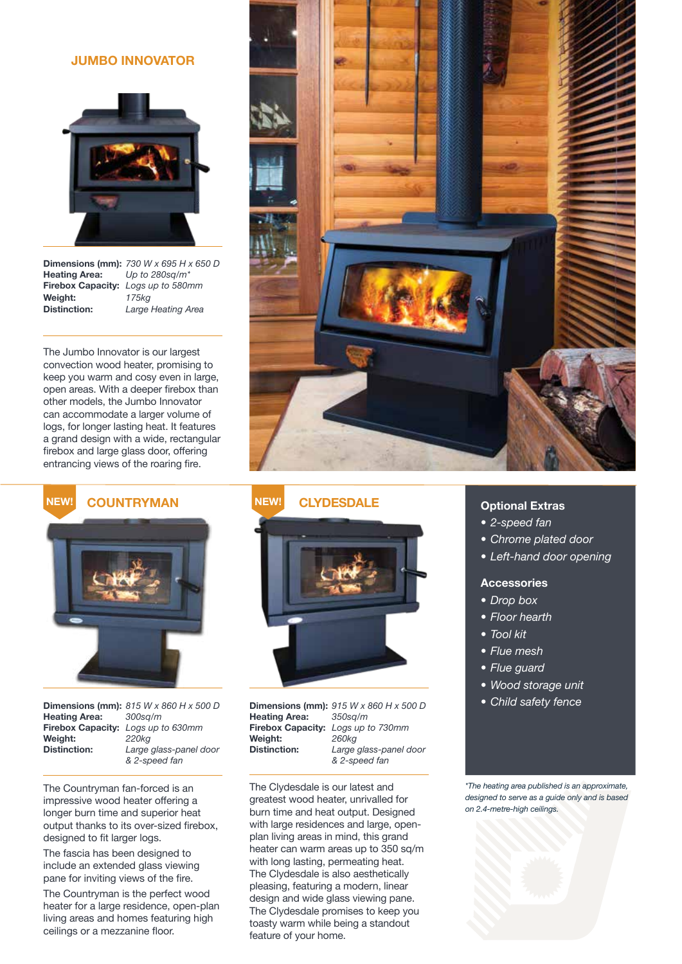#### **JUMBO INNOVATOR**



**Heating Area: Firebox Capacity:** *Logs up to 580mm* **Weight:** *175kg*

**Dimensions (mm):** 730 W x 695 H x 650 D<br>**Heating Area:** Up to 280sq/m\* Large Heating Area

The Jumbo Innovator is our largest convection wood heater, promising to keep you warm and cosy even in large, open areas. With a deeper firebox than other models, the Jumbo Innovator can accommodate a larger volume of logs, for longer lasting heat. It features a grand design with a wide, rectangular firebox and large glass door, offering entrancing views of the roaring fire.



**COUNTRYMAN NEW! NEW!**



**Heating Area: Weight:**<br>Distinction:

**Dimensions (mm):** *815 W x 860 H x 500 D* **Firebox Capacity:** *Logs up to 630mm* **Distinction:** *Large glass-panel door & 2-speed fan*

The Countryman fan-forced is an impressive wood heater offering a longer burn time and superior heat output thanks to its over-sized firebox, designed to fit larger logs.

The fascia has been designed to include an extended glass viewing pane for inviting views of the fire.

The Countryman is the perfect wood heater for a large residence, open-plan living areas and homes featuring high ceilings or a mezzanine floor.





**Dimensions (mm):** *915 W x 860 H x 500 D* **Heating Area: Firebox Capacity:** *Logs up to 730mm* **Weight:** *260kg* **Distinction:** *Large glass-panel door & 2-speed fan*

The Clydesdale is our latest and greatest wood heater, unrivalled for burn time and heat output. Designed with large residences and large, openplan living areas in mind, this grand heater can warm areas up to 350 sq/m with long lasting, permeating heat. The Clydesdale is also aesthetically pleasing, featuring a modern, linear design and wide glass viewing pane. The Clydesdale promises to keep you toasty warm while being a standout feature of your home.

#### **Optional Extras**

- *• 2-speed fan*
- *• Chrome plated door*
- *• Left-hand door opening*

#### **Accessories**

- *• Drop box*
- *• Floor hearth*
- *• Tool kit*
- *• Flue mesh*
- *• Flue guard*
- *• Wood storage unit*
- *• Child safety fence*

*\*The heating area published is an approximate, designed to serve as a guide only and is based on 2.4-metre-high ceilings.*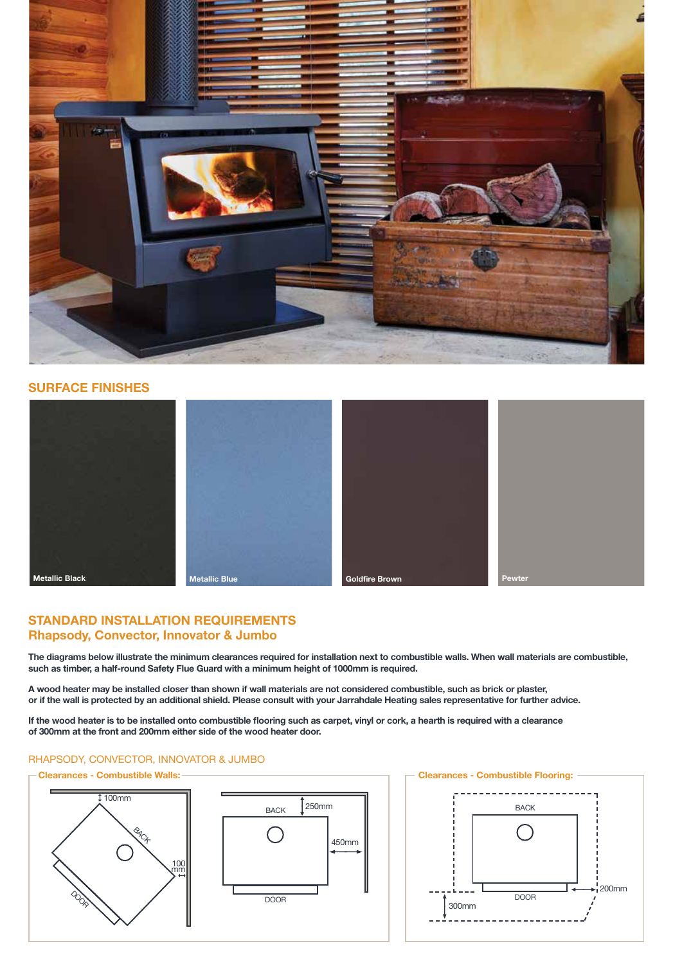

## **SURFACE FINISHES**







# **STANDARD INSTALLATION REQUIREMENTS Rhapsody, Convector, Innovator & Jumbo**

**The diagrams below illustrate the minimum clearances required for installation next to combustible walls. When wall materials are combustible, such as timber, a half-round Safety Flue Guard with a minimum height of 1000mm is required.**

**A wood heater may be installed closer than shown if wall materials are not considered combustible, such as brick or plaster, or if the wall is protected by an additional shield. Please consult with your Jarrahdale Heating sales representative for further advice.**

**If the wood heater is to be installed onto combustible flooring such as carpet, vinyl or cork, a hearth is required with a clearance of 300mm at the front and 200mm either side of the wood heater door.**

# RHAPSODY, CONVECTOR, INNOVATOR & JUMBO

#### **Clearances - Combustible Walls:**







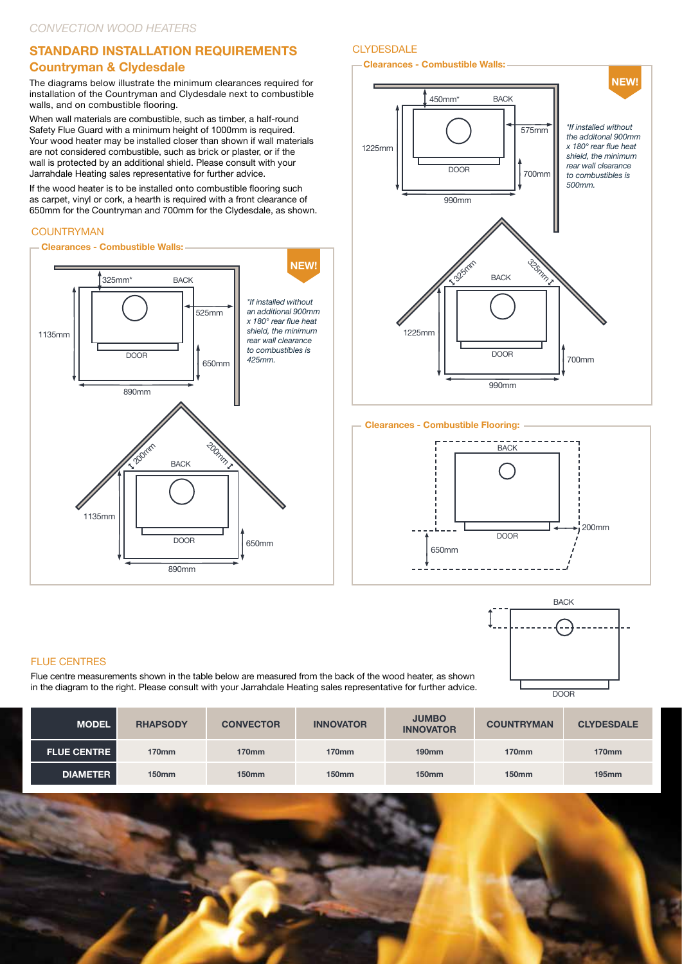# **STANDARD INSTALLATION REQUIREMENTS**

# **Countryman & Clydesdale**

The diagrams below illustrate the minimum clearances required for installation of the Countryman and Clydesdale next to combustible walls, and on combustible flooring.

When wall materials are combustible, such as timber, a half-round Safety Flue Guard with a minimum height of 1000mm is required. Your wood heater may be installed closer than shown if wall materials are not considered combustible, such as brick or plaster, or if the wall is protected by an additional shield. Please consult with your Jarrahdale Heating sales representative for further advice.

If the wood heater is to be installed onto combustible flooring such as carpet, vinyl or cork, a hearth is required with a front clearance of 650mm for the Countryman and 700mm for the Clydesdale, as shown.

# **COUNTRYMAN**



# **CLYDESDALE**

#### **Clearances - Combustible Walls:**



#### **Clearances - Combustible Flooring:**





#### **FLUE CENTRES**

Flue centre measurements shown in the table below are measured from the back of the wood heater, as shown in the diagram to the right. Please consult with your Jarrahdale Heating sales representative for further advice.

| <b>MODEL</b>       | <b>RHAPSODY</b> | <b>CONVECTOR</b> | <b>INNOVATOR</b> | <b>JUMBO</b><br><b>INNOVATOR</b> | <b>COUNTRYMAN</b> | <b>CLYDESDALE</b> |
|--------------------|-----------------|------------------|------------------|----------------------------------|-------------------|-------------------|
| <b>FLUE CENTRE</b> | 170mm           | <b>170mm</b>     | 170mm            | $190$ mm                         | <b>170mm</b>      | <b>170mm</b>      |
| <b>DIAMETER</b>    | <b>150mm</b>    | <b>150mm</b>     | <b>150mm</b>     | 150 <sub>mm</sub>                | <b>150mm</b>      | $195$ mm          |